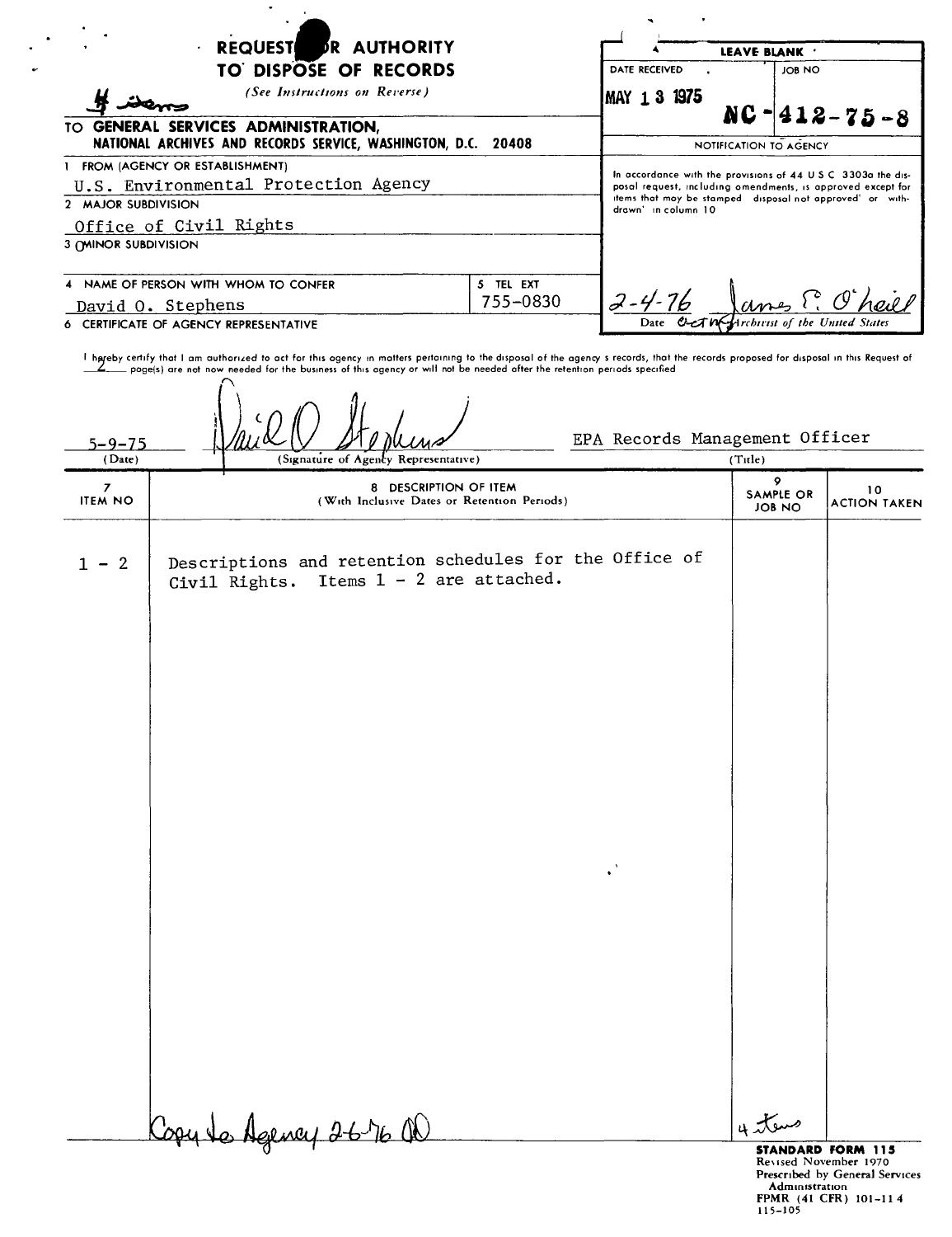| <b>DR AUTHORITY</b><br><b>REQUEST</b>                                                                                                                                                                                                                                           |                                | LEAVE BLANK                                                                                                                                                                                                      |                            |                           |  |
|---------------------------------------------------------------------------------------------------------------------------------------------------------------------------------------------------------------------------------------------------------------------------------|--------------------------------|------------------------------------------------------------------------------------------------------------------------------------------------------------------------------------------------------------------|----------------------------|---------------------------|--|
| TO DISPOSE OF RECORDS<br>(See Instructions on Reverse)<br>TO GENERAL SERVICES ADMINISTRATION,<br>NATIONAL ARCHIVES AND RECORDS SERVICE, WASHINGTON, D.C.<br>20408                                                                                                               |                                | <b>DATE RECEIVED</b>                                                                                                                                                                                             | JOB NO                     |                           |  |
|                                                                                                                                                                                                                                                                                 |                                | IMAY 131975                                                                                                                                                                                                      | $NC - 412 - 75 - 8$        |                           |  |
|                                                                                                                                                                                                                                                                                 |                                |                                                                                                                                                                                                                  | NOTIFICATION TO AGENCY     |                           |  |
| 1 FROM (AGENCY OR ESTABLISHMENT)<br>U.S. Environmental Protection Agency<br>2 MAJOR SUBDIVISION<br>Office of Civil Rights<br><b>3 (MINOR SUBDIVISION</b>                                                                                                                        |                                | In accordance with the provisions of 44 U.S.C. 3303a the dis-<br>posal request, including omendments, is approved except for<br>items that may be stamped disposal not approved' or with-<br>drawn' in column 10 |                            |                           |  |
| NAME OF PERSON WITH WHOM TO CONFER<br>David O. Stephens<br>6 CERTIFICATE OF AGENCY REPRESENTATIVE                                                                                                                                                                               | $2 - 4 - 76$<br>Umes C. O'hail |                                                                                                                                                                                                                  |                            |                           |  |
| I hareby certify that I am authorized to act for this ogency in matters pertaining to the disposal of the agency s records, that the records proposed for disposal in this Request of<br>5–9–75<br>(Date)<br>(Signature of Agency Representative)<br>8 DESCRIPTION OF ITEM<br>7 |                                | EPA Records Management Officer                                                                                                                                                                                   | (Title)<br>9               |                           |  |
| <b>ITEM NO</b><br>(With Inclusive Dates or Retention Periods)                                                                                                                                                                                                                   |                                |                                                                                                                                                                                                                  | <b>SAMPLE OR</b><br>JOB NO | 10<br><b>ACTION TAKEN</b> |  |

Descriptions and retention schedules for the Office of

Civil Rights. Items  $1 - 2$  are attached.

 $4\pi$ 

 $\ddot{\phantom{1}}$ 

**STANDARD FORM 115**<br>Revised November 1970<br>Prescribed by General Services<br>Administration<br>FPMR (41 CFR) 101-11 4<br>115-105

Copy to Agency 2676 QD

 $1 - 2$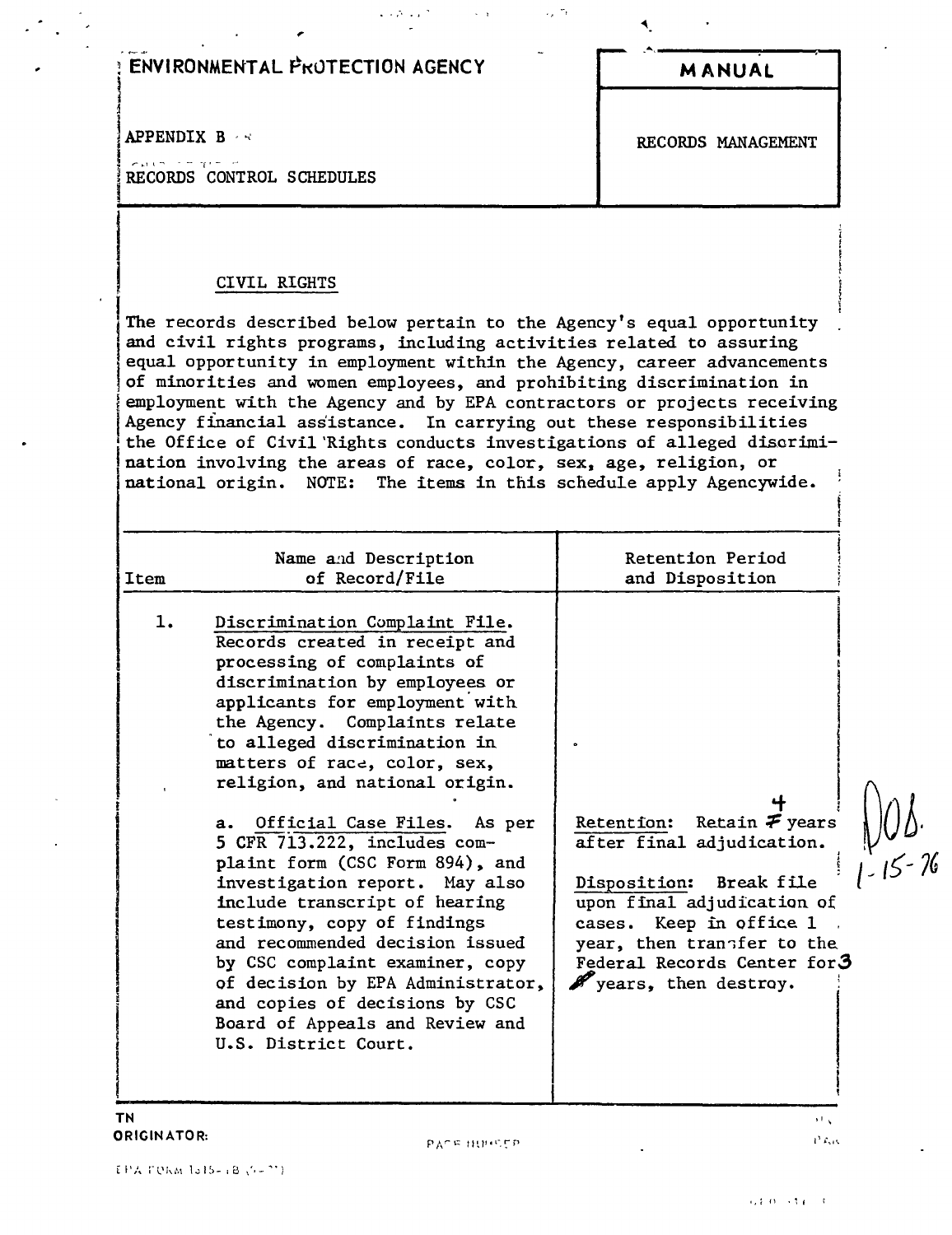## **ENVIRONMENTAL PROTECTION AGENCY**

**APPENDIX B** 

each in pro RECORDS CONTROL SCHEDULES **MANUAL** 

RECORDS MANAGEMENT

## CIVIL RIGHTS

The records described below pertain to the Agency's equal opportunity and civil rights programs, including activities related to assuring equal opportunity in employment within the Agency, career advancements of minorities and women employees, and prohibiting discrimination in employment with the Agency and by EPA contractors or projects receiving Agency financial assistance. In carrying out these responsibilities the Office of Civil Rights conducts investigations of alleged discrimination involving the areas of race, color, sex, age, religion, or national origin. NOTE: The items in this schedule apply Agencywide.

| Name and Description<br>of Record/File<br>Item                                                                                                                                                                                                                                                                                                                                                                                                                                                                                                                                                                                                                                                                              | Retention Period<br>and Disposition                                                                                                                                                                                                           |  |
|-----------------------------------------------------------------------------------------------------------------------------------------------------------------------------------------------------------------------------------------------------------------------------------------------------------------------------------------------------------------------------------------------------------------------------------------------------------------------------------------------------------------------------------------------------------------------------------------------------------------------------------------------------------------------------------------------------------------------------|-----------------------------------------------------------------------------------------------------------------------------------------------------------------------------------------------------------------------------------------------|--|
| Discrimination Complaint File.<br>ı.<br>Records created in receipt and<br>processing of complaints of<br>discrimination by employees or<br>applicants for employment with<br>the Agency. Complaints relate<br>to alleged discrimination in<br>matters of race, color, sex,<br>religion, and national origin.<br>a. Official Case Files. As per<br>5 CFR 713.222, includes com-<br>plaint form (CSC Form 894), and<br>investigation report. May also<br>include transcript of hearing<br>testimony, copy of findings<br>and recommended decision issued<br>by CSC complaint examiner, copy<br>of decision by EPA Administrator,<br>and copies of decisions by CSC<br>Board of Appeals and Review and<br>U.S. District Court. | Retention: Retain $\mathcal F$ years<br>after final adjudication.<br>Disposition:<br>Break file<br>upon final adjudication of<br>cases. Keep in office 1<br>year, then transfer to the<br>Federal Records Center for3<br>years, then destroy. |  |